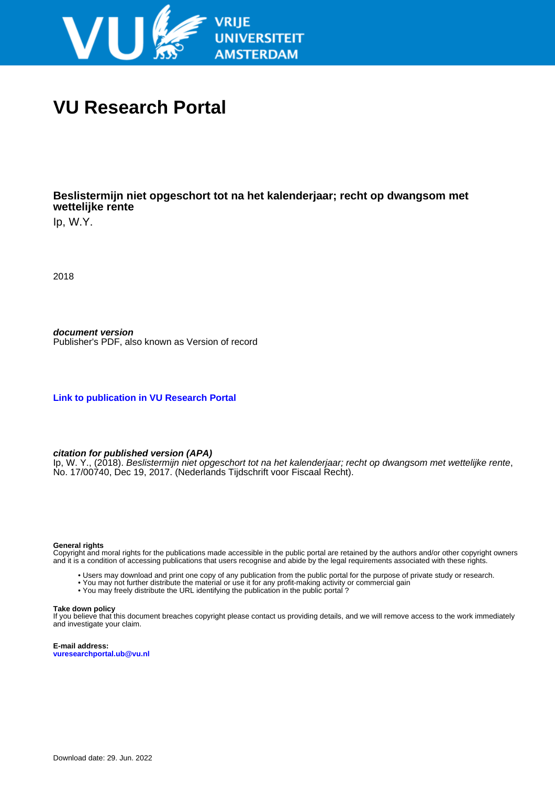

# **VU Research Portal**

## **Beslistermijn niet opgeschort tot na het kalenderjaar; recht op dwangsom met wettelijke rente**

Ip, W.Y.

2018

**document version** Publisher's PDF, also known as Version of record

**[Link to publication in VU Research Portal](https://research.vu.nl/en/publications/c64e7b1b-2d24-43be-a595-661df56dd3de)**

**citation for published version (APA)**

Ip, W. Y., (2018). Beslistermijn niet opgeschort tot na het kalenderjaar; recht op dwangsom met wettelijke rente, No. 17/00740, Dec 19, 2017. (Nederlands Tijdschrift voor Fiscaal Recht).

### **General rights**

Copyright and moral rights for the publications made accessible in the public portal are retained by the authors and/or other copyright owners and it is a condition of accessing publications that users recognise and abide by the legal requirements associated with these rights.

- Users may download and print one copy of any publication from the public portal for the purpose of private study or research.
- You may not further distribute the material or use it for any profit-making activity or commercial gain
- You may freely distribute the URL identifying the publication in the public portal ?

### **Take down policy**

If you believe that this document breaches copyright please contact us providing details, and we will remove access to the work immediately and investigate your claim.

**E-mail address: vuresearchportal.ub@vu.nl**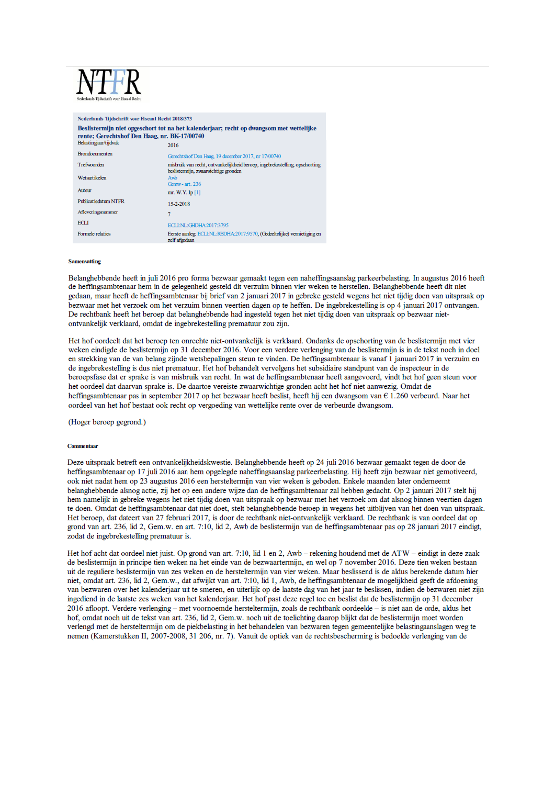### Nederlands Tijdschrift voor Fiscaal Recht 2018/373 Beslistermijn niet opgeschort tot na het kalenderjaar; recht op dwangsom met wettelijke rente; Gerechtshof Den Haag, nr. BK-17/00740 Belastingiaar/tiidvak 2016 **Brondocumenten** Gerechtshof Den Haag, 19 december 2017, nr 17/00740 misbruik van recht, ontvankelijkheid beroep, ingebrekestelling, opschorting Trefwoorden beslistermiin, zwaarwichtige gronden Wetsartikelen  $x + 236$ <br>Genw- art. 236 Auteur mr. W.Y. In [1] Publicatiedatum NTFR 15-2-2018 Afleveringsnummer  $\overline{7}$ ECLI ECLENL:GHDHA:2017:3795 Formele relaties Eerste aanleg: ECLENL:RBDHA:2017:9570, (Gedeeltelijke) vernietiging en zelf afordaan

### **Samenvatting**

Belanghebbende heeft in juli 2016 pro forma bezwaar gemaakt tegen een naheffingsaanslag parkeerbelasting. In augustus 2016 heeft de heffingsambtenaar hem in de gelegenheid gesteld dit verzuim binnen vier weken te herstellen. Belanghebbende heeft dit niet gedaan, maar heeft de heffingsambtenaar bij brief van 2 januari 2017 in gebreke gesteld wegens het niet tijdig doen van uitspraak op bezwaar met het verzoek om het verzuim binnen veertien dagen op te heffen. De ingebrekestelling is op 4 januari 2017 ontvangen. De rechtbank heeft het beroep dat belanghebbende had ingesteld tegen het niet tijdig doen van uitspraak op bezwaar nietontvankelijk verklaard, omdat de ingebrekestelling prematuur zou zijn.

Het hof oordeelt dat het beroep ten onrechte niet-ontvankelijk is verklaard. Ondanks de opschorting van de beslistermijn met vier weken eindigde de beslistermijn op 31 december 2016. Voor een verdere verlenging van de beslistermijn is in de tekst noch in doel en strekking van de van belang zijnde wetsbepalingen steun te vinden. De heffingsambtenaar is vanaf 1 januari 2017 in verzuim en de ingebrekestelling is dus niet prematuur. Het hof behandelt vervolgens het subsidiaire standpunt van de inspecteur in de beroepsfase dat er sprake is van misbruik van recht. In wat de heffingsambtenaar heeft aangevoerd, vindt het hof geen steun voor het oordeel dat daarvan sprake is. De daartoe vereiste zwaarwichtige gronden acht het hof niet aanwezig. Omdat de heffingsambtenaar pas in september 2017 op het bezwaar heeft beslist, heeft hij een dwangsom van € 1.260 verbeurd. Naar het oordeel van het hof bestaat ook recht op vergoeding van wettelijke rente over de verbeurde dwangsom.

(Hoger beroep gegrond.)

### Commentaar

Deze uitspraak betreft een ontvankelijkheidskwestie. Belanghebbende heeft op 24 juli 2016 bezwaar gemaakt tegen de door de heffingsambtenaar op 17 juli 2016 aan hem opgelegde naheffingsaanslag parkeerbelasting. Hij heeft zijn bezwaar niet gemotiveerd, ook niet nadat hem op 23 augustus 2016 een hersteltermijn van vier weken is geboden. Enkele maanden later onderneemt belanghebbende alsnog actie, zij het op een andere wijze dan de heffingsambtenaar zal hebben gedacht. Op 2 januari 2017 stelt hij hem namelijk in gebreke wegens het niet tijdig doen van uitspraak op bezwaar met het verzoek om dat alsnog binnen veertien dagen te doen. Omdat de heffingsambtenaar dat niet doet, stelt belanghebbende beroep in wegens het uitblijven van het doen van uitspraak. Het beroep, dat dateert van 27 februari 2017, is door de rechtbank niet-ontvankelijk verklaard. De rechtbank is van oordeel dat op grond van art. 236, lid 2, Gem.w. en art. 7:10, lid 2, Awb de beslistermijn van de heffingsambtenaar pas op 28 januari 2017 eindigt, zodat de ingebrekestelling prematuur is.

Het hof acht dat oordeel niet juist. Op grond van art. 7:10, lid 1 en 2, Awb - rekening houdend met de ATW - eindigt in deze zaak de beslistermijn in principe tien weken na het einde van de bezwaartermijn, en wel op 7 november 2016. Deze tien weken bestaan uit de reguliere beslistermijn van zes weken en de hersteltermijn van vier weken. Maar beslissend is de aldus berekende datum hier niet, omdat art. 236, lid 2, Gem.w., dat afwijkt van art. 7:10, lid 1, Awb, de heffingsambtenaar de mogelijkheid geeft de afdoening van bezwaren over het kalenderjaar uit te smeren, en uiterlijk op de laatste dag van het jaar te beslissen, indien de bezwaren niet zijn ingediend in de laatste zes weken van het kalenderjaar. Het hof past deze regel toe en beslist dat de beslistermijn op 31 december 2016 afloopt. Verdere verlenging - met voornoemde hersteltermijn, zoals de rechtbank oordeelde - is niet aan de orde, aldus het hof, omdat noch uit de tekst van art. 236, lid 2, Gem.w. noch uit de toelichting daarop blijkt dat de beslistermijn moet worden verlengd met de hersteltermijn om de piekbelasting in het behandelen van bezwaren tegen gemeentelijke belastingaanslagen weg te nemen (Kamerstukken II, 2007-2008, 31 206, nr. 7). Vanuit de optiek van de rechtsbescherming is bedoelde verlenging van de